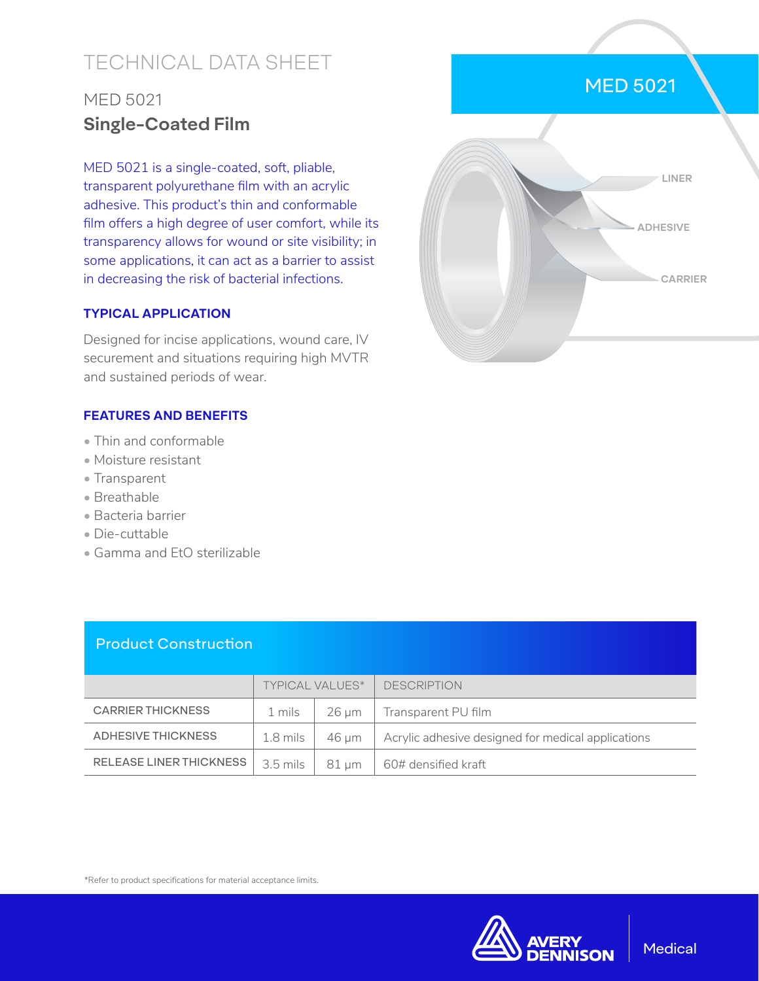# TECHNICAL DATA SHEET

# MED 5021 **Single-Coated Film**

MED 5021 is a single-coated, soft, pliable, transparent polyurethane film with an acrylic adhesive. This product's thin and conformable film offers a high degree of user comfort, while its transparency allows for wound or site visibility; in some applications, it can act as a barrier to assist in decreasing the risk of bacterial infections.

#### **TYPICAL APPLICATION**

Designed for incise applications, wound care, IV securement and situations requiring high MVTR and sustained periods of wear.

#### **FEATURES AND BENEFITS**

- Thin and conformable
- Moisture resistant
- Transparent
- Breathable
- Bacteria barrier
- Die-cuttable
- Gamma and EtO sterilizable

### Product Construction

|                                | <b>TYPICAL VALUES*</b>   |       | <b>DESCRIPTION</b>                                 |
|--------------------------------|--------------------------|-------|----------------------------------------------------|
| <b>CARRIER THICKNESS</b>       | 1 mils                   | 26 um | Transparent PU film                                |
| ADHESIVE THICKNESS             | 1.8 mils                 | 46 um | Acrylic adhesive designed for medical applications |
| <b>RELEASE LINER THICKNESS</b> | $3.5$ mils $\vert$ 81 µm |       | $\overline{604}$ densified kraft                   |

\*Refer to product specifications for material acceptance limits.